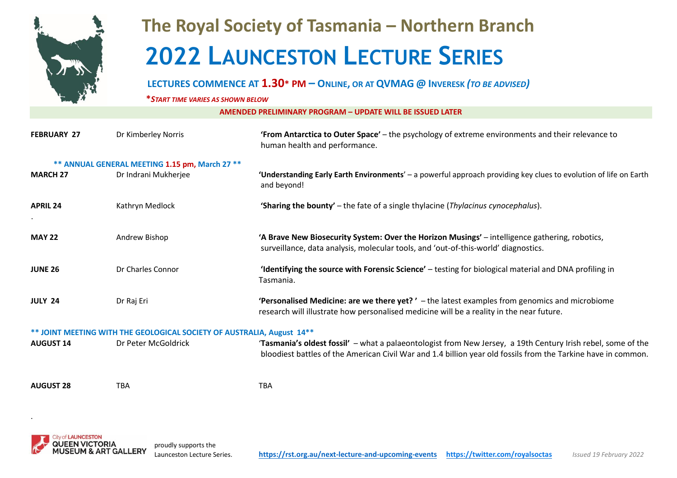

## **The Royal Society of Tasmania – Northern Branch 2022 LAUNCESTON LECTURE SERIES**

## LECTURES COMMENCE AT 1.30\* PM – ONLINE, OR AT QVMAG @ INVERESK (TO BE ADVISED)

**\****START TIME VARIES AS SHOWN BELOW*

**AMENDED PRELIMINARY PROGRAM – UPDATE WILL BE ISSUED LATER**

| <b>FEBRUARY 27</b>                             | Dr Kimberley Norris                                                                           | 'From Antarctica to Outer Space' - the psychology of extreme environments and their relevance to<br>human health and performance.                                                                                             |  |  |
|------------------------------------------------|-----------------------------------------------------------------------------------------------|-------------------------------------------------------------------------------------------------------------------------------------------------------------------------------------------------------------------------------|--|--|
| ** ANNUAL GENERAL MEETING 1.15 pm, March 27 ** |                                                                                               |                                                                                                                                                                                                                               |  |  |
| <b>MARCH 27</b>                                | Dr Indrani Mukherjee                                                                          | 'Understanding Early Earth Environments' - a powerful approach providing key clues to evolution of life on Earth<br>and beyond!                                                                                               |  |  |
| <b>APRIL 24</b>                                | Kathryn Medlock                                                                               | <b>'Sharing the bounty'</b> – the fate of a single thylacine ( <i>Thylacinus cynocephalus</i> ).                                                                                                                              |  |  |
| <b>MAY 22</b>                                  | Andrew Bishop                                                                                 | 'A Brave New Biosecurity System: Over the Horizon Musings' - intelligence gathering, robotics,<br>surveillance, data analysis, molecular tools, and 'out-of-this-world' diagnostics.                                          |  |  |
| <b>JUNE 26</b>                                 | Dr Charles Connor                                                                             | 'Identifying the source with Forensic Science' - testing for biological material and DNA profiling in<br>Tasmania.                                                                                                            |  |  |
| <b>JULY 24</b>                                 | Dr Raj Eri                                                                                    | <b>'Personalised Medicine: are we there yet?'</b> - the latest examples from genomics and microbiome<br>research will illustrate how personalised medicine will be a reality in the near future.                              |  |  |
| <b>AUGUST 14</b>                               | ** JOINT MEETING WITH THE GEOLOGICAL SOCIETY OF AUSTRALIA, August 14**<br>Dr Peter McGoldrick | 'Tasmania's oldest fossil' - what a palaeontologist from New Jersey, a 19th Century Irish rebel, some of the<br>bloodiest battles of the American Civil War and 1.4 billion year old fossils from the Tarkine have in common. |  |  |
| <b>AUGUST 28</b>                               | TBA                                                                                           | <b>TBA</b>                                                                                                                                                                                                                    |  |  |



.